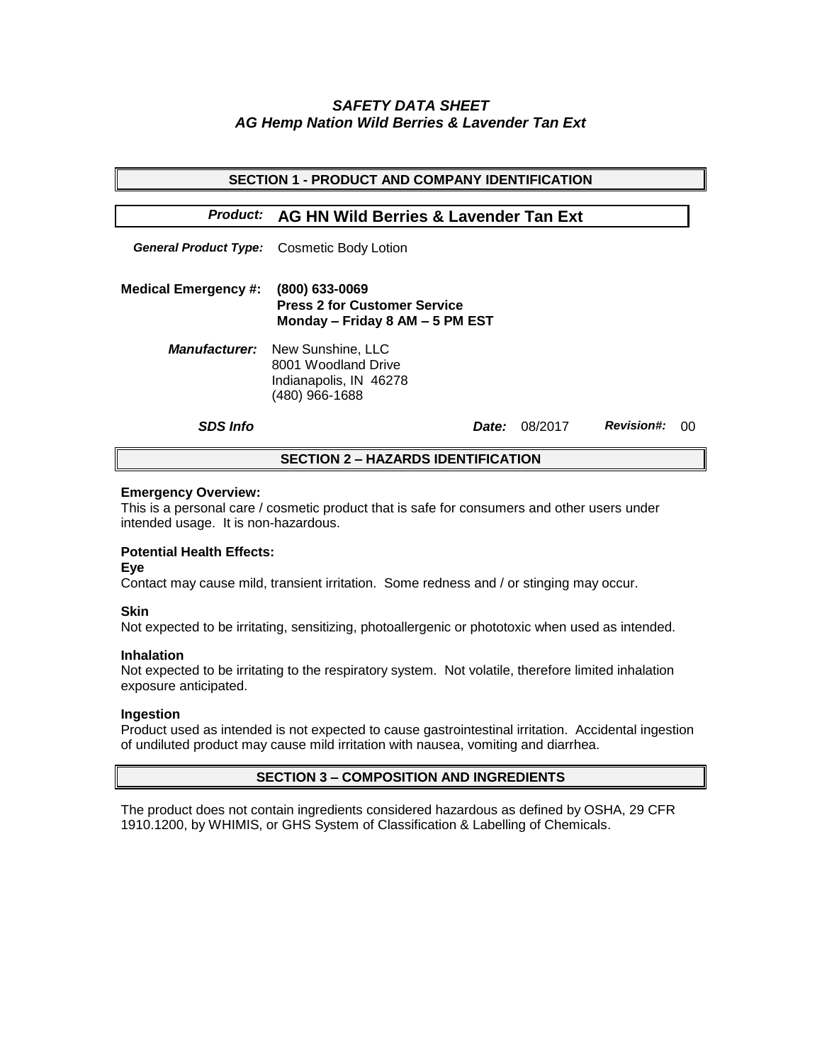# *SAFETY DATA SHEET AG Hemp Nation Wild Berries & Lavender Tan Ext*

| <b>SECTION 1 - PRODUCT AND COMPANY IDENTIFICATION</b> |                                                                                                           |                      |                   |    |  |  |
|-------------------------------------------------------|-----------------------------------------------------------------------------------------------------------|----------------------|-------------------|----|--|--|
|                                                       | <b>Product: AG HN Wild Berries &amp; Lavender Tan Ext</b>                                                 |                      |                   |    |  |  |
|                                                       | <b>General Product Type:</b> Cosmetic Body Lotion                                                         |                      |                   |    |  |  |
| <b>Medical Emergency #:</b>                           | $(800)$ 633-0069<br><b>Press 2 for Customer Service</b><br>Monday - Friday 8 AM - 5 PM EST                |                      |                   |    |  |  |
|                                                       | <b>Manufacturer:</b> New Sunshine, LLC<br>8001 Woodland Drive<br>Indianapolis, IN 46278<br>(480) 966-1688 |                      |                   |    |  |  |
| <b>SDS Info</b>                                       |                                                                                                           | <b>Date:</b> 08/2017 | <b>Revision#:</b> | ററ |  |  |
| <b>SECTION 2 – HAZARDS IDENTIFICATION</b>             |                                                                                                           |                      |                   |    |  |  |

#### **Emergency Overview:**

This is a personal care / cosmetic product that is safe for consumers and other users under intended usage. It is non-hazardous.

## **Potential Health Effects:**

**Eye**

Contact may cause mild, transient irritation. Some redness and / or stinging may occur.

## **Skin**

Not expected to be irritating, sensitizing, photoallergenic or phototoxic when used as intended.

#### **Inhalation**

Not expected to be irritating to the respiratory system. Not volatile, therefore limited inhalation exposure anticipated.

## **Ingestion**

Product used as intended is not expected to cause gastrointestinal irritation. Accidental ingestion of undiluted product may cause mild irritation with nausea, vomiting and diarrhea.

## **SECTION 3 – COMPOSITION AND INGREDIENTS**

The product does not contain ingredients considered hazardous as defined by OSHA, 29 CFR 1910.1200, by WHIMIS, or GHS System of Classification & Labelling of Chemicals.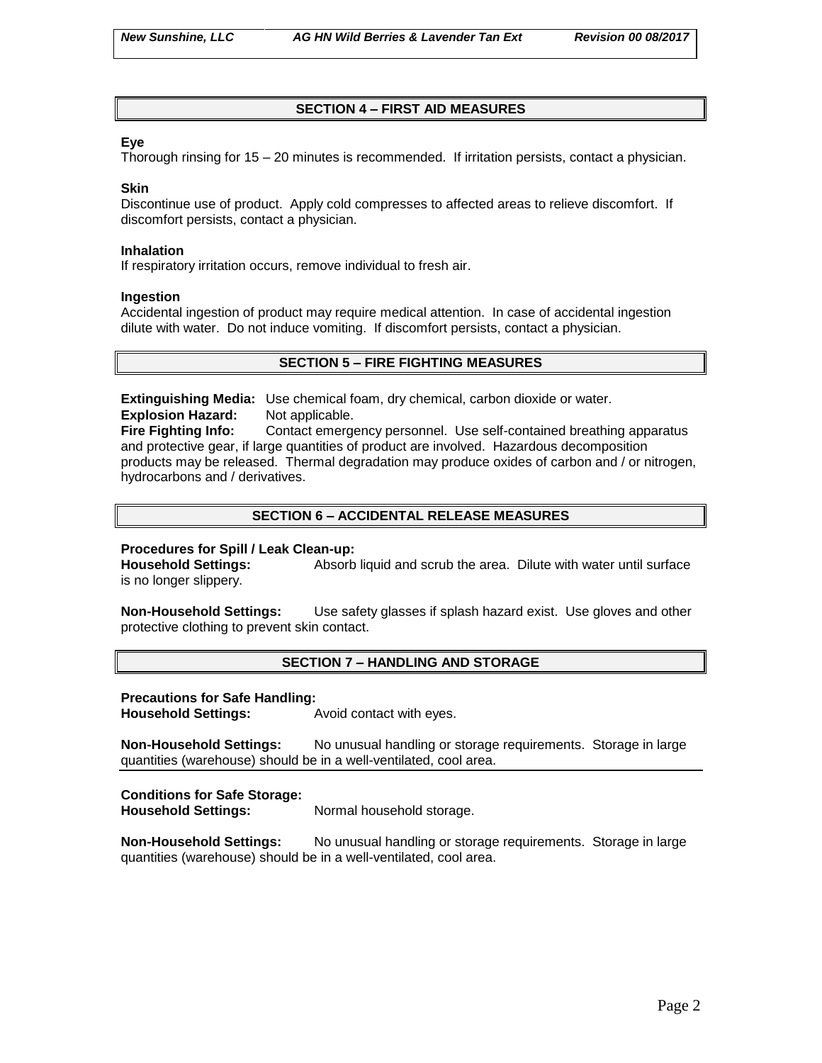## **SECTION 4 – FIRST AID MEASURES**

## **Eye**

Thorough rinsing for 15 – 20 minutes is recommended. If irritation persists, contact a physician.

## **Skin**

Discontinue use of product. Apply cold compresses to affected areas to relieve discomfort. If discomfort persists, contact a physician.

#### **Inhalation**

If respiratory irritation occurs, remove individual to fresh air.

#### **Ingestion**

Accidental ingestion of product may require medical attention. In case of accidental ingestion dilute with water. Do not induce vomiting. If discomfort persists, contact a physician.

## **SECTION 5 – FIRE FIGHTING MEASURES**

**Extinguishing Media:** Use chemical foam, dry chemical, carbon dioxide or water. **Explosion Hazard:** Not applicable.

**Fire Fighting Info:** Contact emergency personnel. Use self-contained breathing apparatus and protective gear, if large quantities of product are involved. Hazardous decomposition products may be released. Thermal degradation may produce oxides of carbon and / or nitrogen, hydrocarbons and / derivatives.

## **SECTION 6 – ACCIDENTAL RELEASE MEASURES**

## **Procedures for Spill / Leak Clean-up:**

**Household Settings:** Absorb liquid and scrub the area. Dilute with water until surface is no longer slippery.

**Non-Household Settings:** Use safety glasses if splash hazard exist. Use gloves and other protective clothing to prevent skin contact.

## **SECTION 7 – HANDLING AND STORAGE**

## **Precautions for Safe Handling:**

**Household Settings:** Avoid contact with eyes.

**Non-Household Settings:** No unusual handling or storage requirements. Storage in large quantities (warehouse) should be in a well-ventilated, cool area.

## **Conditions for Safe Storage:**

**Household Settings:** Normal household storage.

**Non-Household Settings:** No unusual handling or storage requirements. Storage in large quantities (warehouse) should be in a well-ventilated, cool area.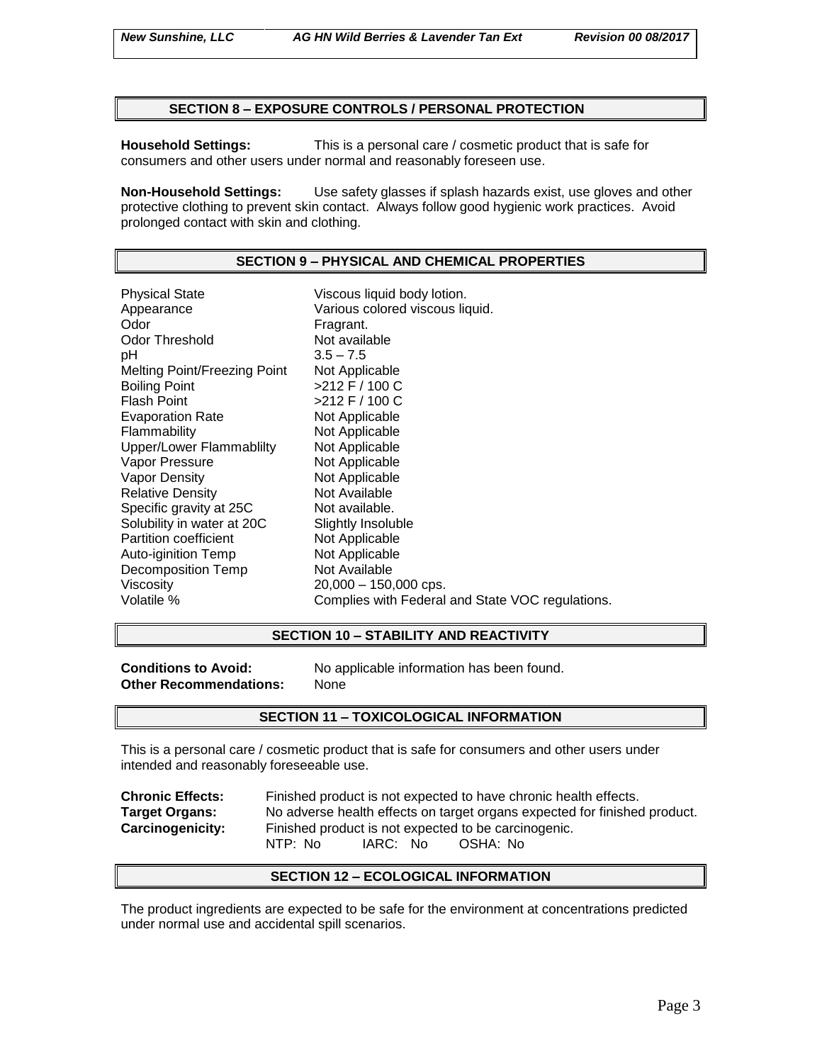#### **SECTION 8 – EXPOSURE CONTROLS / PERSONAL PROTECTION**

**Household Settings:** This is a personal care / cosmetic product that is safe for consumers and other users under normal and reasonably foreseen use.

**Non-Household Settings:** Use safety glasses if splash hazards exist, use gloves and other protective clothing to prevent skin contact. Always follow good hygienic work practices. Avoid prolonged contact with skin and clothing.

#### **SECTION 9 – PHYSICAL AND CHEMICAL PROPERTIES**

Physical State Viscous liquid body lotion. Appearance **Various colored viscous liquid.**<br>
Odor Communication Colore Fragrant. Odor Threshold Not available pH 3.5 – 7.5 Melting Point/Freezing Point Not Applicable Boiling Point >212 F / 100 C Flash Point  $>212$  F / 100 C Evaporation Rate Not Applicable Flammability Not Applicable Upper/Lower Flammablilty Not Applicable Vapor Pressure Not Applicable Vapor Density Not Applicable Relative Density Not Available Specific gravity at 25C Not available. Solubility in water at 20C Slightly Insoluble<br>
Partition coefficient
Slightly Insoluble Partition coefficient<br>
Auto-iginition Temp<br>
Not Applicable Auto-iginition Temp Decomposition Temp Not Available Viscosity 20,000 – 150,000 cps. Volatile % Complies with Federal and State VOC regulations.

#### **SECTION 10 – STABILITY AND REACTIVITY**

**Other Recommendations:** None

**Conditions to Avoid:** No applicable information has been found.

#### **SECTION 11 – TOXICOLOGICAL INFORMATION**

This is a personal care / cosmetic product that is safe for consumers and other users under intended and reasonably foreseeable use.

| <b>Chronic Effects:</b> | Finished product is not expected to have chronic health effects.          |  |  |  |
|-------------------------|---------------------------------------------------------------------------|--|--|--|
| <b>Target Organs:</b>   | No adverse health effects on target organs expected for finished product. |  |  |  |
| <b>Carcinogenicity:</b> | Finished product is not expected to be carcinogenic.                      |  |  |  |
|                         | IARC: No<br>NTP: No<br>OSHA: No                                           |  |  |  |

#### **SECTION 12 – ECOLOGICAL INFORMATION**

The product ingredients are expected to be safe for the environment at concentrations predicted under normal use and accidental spill scenarios.